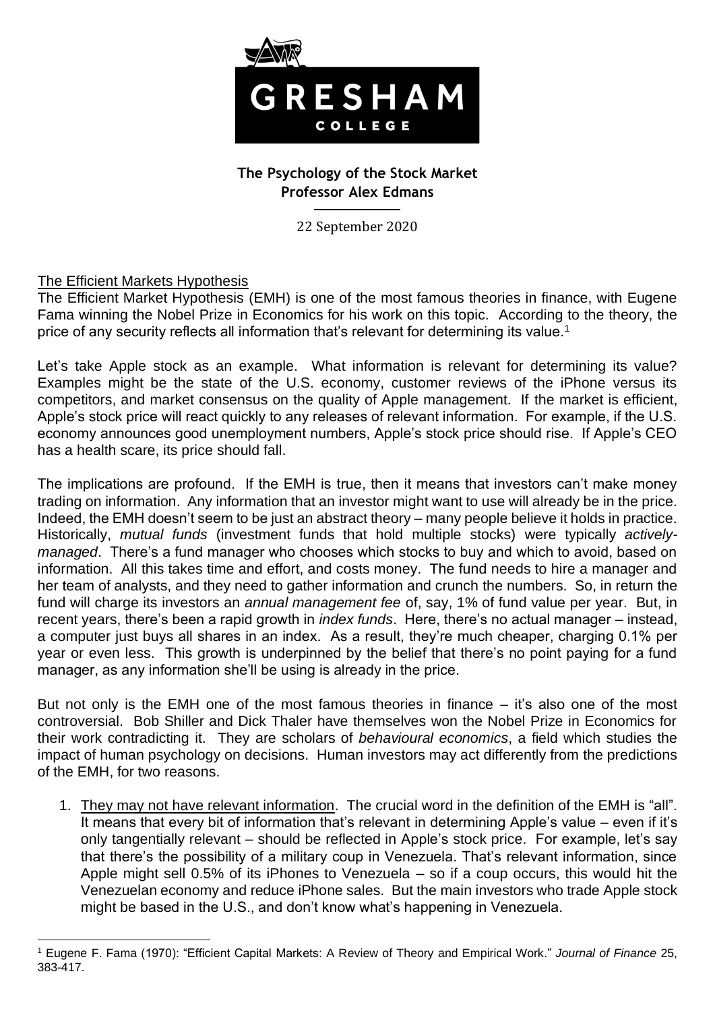

# **The Psychology of the Stock Market Professor Alex Edmans**

22 September 2020

## The Efficient Markets Hypothesis

The Efficient Market Hypothesis (EMH) is one of the most famous theories in finance, with Eugene Fama winning the Nobel Prize in Economics for his work on this topic. According to the theory, the price of any security reflects all information that's relevant for determining its value.<sup>1</sup>

Let's take Apple stock as an example. What information is relevant for determining its value? Examples might be the state of the U.S. economy, customer reviews of the iPhone versus its competitors, and market consensus on the quality of Apple management. If the market is efficient, Apple's stock price will react quickly to any releases of relevant information. For example, if the U.S. economy announces good unemployment numbers, Apple's stock price should rise. If Apple's CEO has a health scare, its price should fall.

The implications are profound. If the EMH is true, then it means that investors can't make money trading on information. Any information that an investor might want to use will already be in the price. Indeed, the EMH doesn't seem to be just an abstract theory – many people believe it holds in practice. Historically, *mutual funds* (investment funds that hold multiple stocks) were typically *activelymanaged*. There's a fund manager who chooses which stocks to buy and which to avoid, based on information. All this takes time and effort, and costs money. The fund needs to hire a manager and her team of analysts, and they need to gather information and crunch the numbers. So, in return the fund will charge its investors an *annual management fee* of, say, 1% of fund value per year. But, in recent years, there's been a rapid growth in *index funds*. Here, there's no actual manager – instead, a computer just buys all shares in an index. As a result, they're much cheaper, charging 0.1% per year or even less. This growth is underpinned by the belief that there's no point paying for a fund manager, as any information she'll be using is already in the price.

But not only is the EMH one of the most famous theories in finance – it's also one of the most controversial. Bob Shiller and Dick Thaler have themselves won the Nobel Prize in Economics for their work contradicting it. They are scholars of *behavioural economics*, a field which studies the impact of human psychology on decisions. Human investors may act differently from the predictions of the EMH, for two reasons.

1. They may not have relevant information. The crucial word in the definition of the EMH is "all". It means that every bit of information that's relevant in determining Apple's value – even if it's only tangentially relevant – should be reflected in Apple's stock price. For example, let's say that there's the possibility of a military coup in Venezuela. That's relevant information, since Apple might sell 0.5% of its iPhones to Venezuela – so if a coup occurs, this would hit the Venezuelan economy and reduce iPhone sales. But the main investors who trade Apple stock might be based in the U.S., and don't know what's happening in Venezuela.

<sup>1</sup> Eugene F. Fama (1970): "Efficient Capital Markets: A Review of Theory and Empirical Work." *Journal of Finance* 25, 383-417.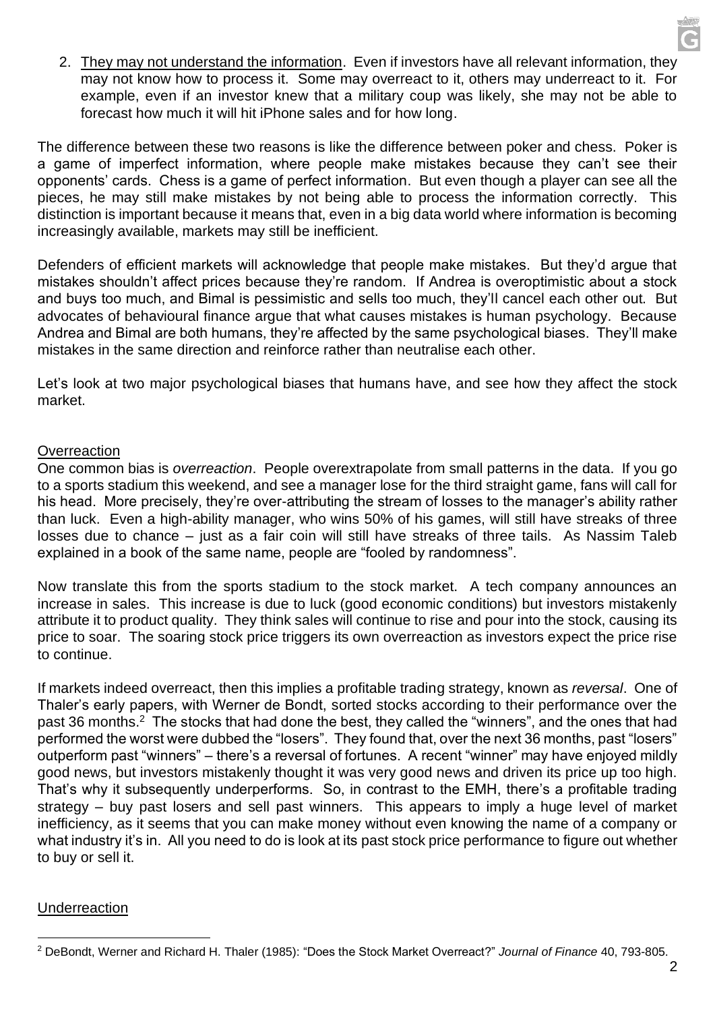2. They may not understand the information. Even if investors have all relevant information, they may not know how to process it. Some may overreact to it, others may underreact to it. For example, even if an investor knew that a military coup was likely, she may not be able to forecast how much it will hit iPhone sales and for how long.

The difference between these two reasons is like the difference between poker and chess. Poker is a game of imperfect information, where people make mistakes because they can't see their opponents' cards. Chess is a game of perfect information. But even though a player can see all the pieces, he may still make mistakes by not being able to process the information correctly. This distinction is important because it means that, even in a big data world where information is becoming increasingly available, markets may still be inefficient.

Defenders of efficient markets will acknowledge that people make mistakes. But they'd argue that mistakes shouldn't affect prices because they're random. If Andrea is overoptimistic about a stock and buys too much, and Bimal is pessimistic and sells too much, they'll cancel each other out. But advocates of behavioural finance argue that what causes mistakes is human psychology. Because Andrea and Bimal are both humans, they're affected by the same psychological biases. They'll make mistakes in the same direction and reinforce rather than neutralise each other.

Let's look at two major psychological biases that humans have, and see how they affect the stock market.

## **Overreaction**

One common bias is *overreaction*. People overextrapolate from small patterns in the data. If you go to a sports stadium this weekend, and see a manager lose for the third straight game, fans will call for his head. More precisely, they're over-attributing the stream of losses to the manager's ability rather than luck. Even a high-ability manager, who wins 50% of his games, will still have streaks of three losses due to chance – just as a fair coin will still have streaks of three tails. As Nassim Taleb explained in a book of the same name, people are "fooled by randomness".

Now translate this from the sports stadium to the stock market. A tech company announces an increase in sales. This increase is due to luck (good economic conditions) but investors mistakenly attribute it to product quality. They think sales will continue to rise and pour into the stock, causing its price to soar. The soaring stock price triggers its own overreaction as investors expect the price rise to continue.

If markets indeed overreact, then this implies a profitable trading strategy, known as *reversal*. One of Thaler's early papers, with Werner de Bondt, sorted stocks according to their performance over the past 36 months.<sup>2</sup> The stocks that had done the best, they called the "winners", and the ones that had performed the worst were dubbed the "losers". They found that, over the next 36 months, past "losers" outperform past "winners" – there's a reversal of fortunes. A recent "winner" may have enjoyed mildly good news, but investors mistakenly thought it was very good news and driven its price up too high. That's why it subsequently underperforms. So, in contrast to the EMH, there's a profitable trading strategy – buy past losers and sell past winners. This appears to imply a huge level of market inefficiency, as it seems that you can make money without even knowing the name of a company or what industry it's in. All you need to do is look at its past stock price performance to figure out whether to buy or sell it.

#### Underreaction

<sup>2</sup> DeBondt, Werner and Richard H. Thaler (1985): "Does the Stock Market Overreact?" *Journal of Finance* 40, 793-805.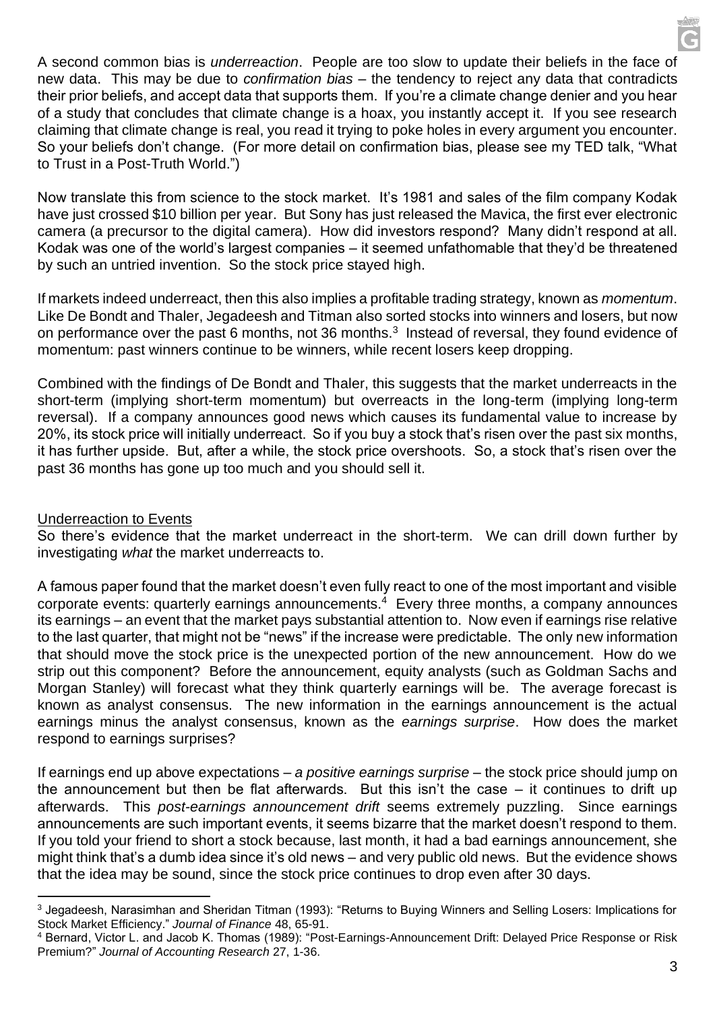A second common bias is *underreaction*. People are too slow to update their beliefs in the face of new data. This may be due to *confirmation bias* – the tendency to reject any data that contradicts their prior beliefs, and accept data that supports them. If you're a climate change denier and you hear of a study that concludes that climate change is a hoax, you instantly accept it. If you see research claiming that climate change is real, you read it trying to poke holes in every argument you encounter. So your beliefs don't change. (For more detail on confirmation bias, please see my TED talk, "What to Trust in a Post-Truth World.")

Now translate this from science to the stock market. It's 1981 and sales of the film company Kodak have just crossed \$10 billion per year. But Sony has just released the Mavica, the first ever electronic camera (a precursor to the digital camera). How did investors respond? Many didn't respond at all. Kodak was one of the world's largest companies – it seemed unfathomable that they'd be threatened by such an untried invention. So the stock price stayed high.

If markets indeed underreact, then this also implies a profitable trading strategy, known as *momentum*. Like De Bondt and Thaler, Jegadeesh and Titman also sorted stocks into winners and losers, but now on performance over the past 6 months, not 36 months.<sup>3</sup> Instead of reversal, they found evidence of momentum: past winners continue to be winners, while recent losers keep dropping.

Combined with the findings of De Bondt and Thaler, this suggests that the market underreacts in the short-term (implying short-term momentum) but overreacts in the long-term (implying long-term reversal). If a company announces good news which causes its fundamental value to increase by 20%, its stock price will initially underreact. So if you buy a stock that's risen over the past six months, it has further upside. But, after a while, the stock price overshoots. So, a stock that's risen over the past 36 months has gone up too much and you should sell it.

# Underreaction to Events

So there's evidence that the market underreact in the short-term. We can drill down further by investigating *what* the market underreacts to.

A famous paper found that the market doesn't even fully react to one of the most important and visible corporate events: quarterly earnings announcements.<sup>4</sup> Every three months, a company announces its earnings – an event that the market pays substantial attention to. Now even if earnings rise relative to the last quarter, that might not be "news" if the increase were predictable. The only new information that should move the stock price is the unexpected portion of the new announcement. How do we strip out this component? Before the announcement, equity analysts (such as Goldman Sachs and Morgan Stanley) will forecast what they think quarterly earnings will be. The average forecast is known as analyst consensus. The new information in the earnings announcement is the actual earnings minus the analyst consensus, known as the *earnings surprise*. How does the market respond to earnings surprises?

If earnings end up above expectations – *a positive earnings surprise* – the stock price should jump on the announcement but then be flat afterwards. But this isn't the case – it continues to drift up afterwards. This *post-earnings announcement drift* seems extremely puzzling. Since earnings announcements are such important events, it seems bizarre that the market doesn't respond to them. If you told your friend to short a stock because, last month, it had a bad earnings announcement, she might think that's a dumb idea since it's old news – and very public old news. But the evidence shows that the idea may be sound, since the stock price continues to drop even after 30 days.

<sup>&</sup>lt;sup>3</sup> Jegadeesh, Narasimhan and Sheridan Titman (1993): "Returns to Buying Winners and Selling Losers: Implications for Stock Market Efficiency." *Journal of Finance* 48, 65-91.

<sup>4</sup> Bernard, Victor L. and Jacob K. Thomas (1989): "Post-Earnings-Announcement Drift: Delayed Price Response or Risk Premium?" *Journal of Accounting Research* 27, 1-36.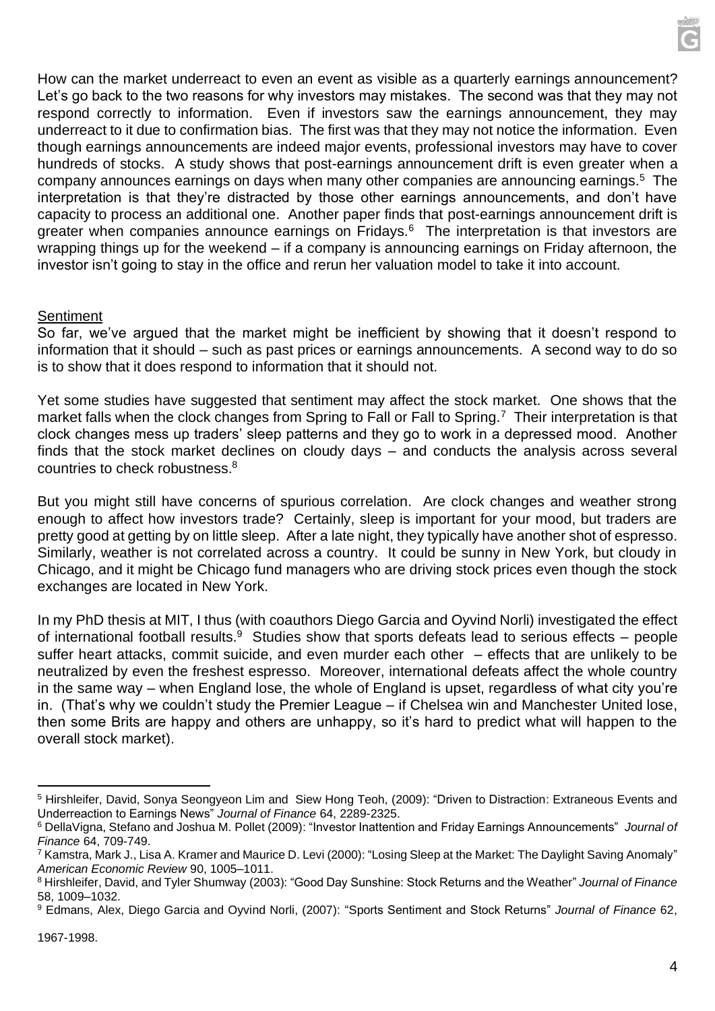How can the market underreact to even an event as visible as a quarterly earnings announcement? Let's go back to the two reasons for why investors may mistakes. The second was that they may not respond correctly to information. Even if investors saw the earnings announcement, they may underreact to it due to confirmation bias. The first was that they may not notice the information. Even though earnings announcements are indeed major events, professional investors may have to cover hundreds of stocks. A study shows that post-earnings announcement drift is even greater when a company announces earnings on days when many other companies are announcing earnings.<sup>5</sup> The interpretation is that they're distracted by those other earnings announcements, and don't have capacity to process an additional one. Another paper finds that post-earnings announcement drift is greater when companies announce earnings on Fridays.<sup>6</sup> The interpretation is that investors are wrapping things up for the weekend – if a company is announcing earnings on Friday afternoon, the investor isn't going to stay in the office and rerun her valuation model to take it into account.

#### **Sentiment**

So far, we've argued that the market might be inefficient by showing that it doesn't respond to information that it should – such as past prices or earnings announcements. A second way to do so is to show that it does respond to information that it should not.

Yet some studies have suggested that sentiment may affect the stock market. One shows that the market falls when the clock changes from Spring to Fall or Fall to Spring.<sup>7</sup> Their interpretation is that clock changes mess up traders' sleep patterns and they go to work in a depressed mood. Another finds that the stock market declines on cloudy days – and conducts the analysis across several countries to check robustness.<sup>8</sup>

But you might still have concerns of spurious correlation. Are clock changes and weather strong enough to affect how investors trade? Certainly, sleep is important for your mood, but traders are pretty good at getting by on little sleep. After a late night, they typically have another shot of espresso. Similarly, weather is not correlated across a country. It could be sunny in New York, but cloudy in Chicago, and it might be Chicago fund managers who are driving stock prices even though the stock exchanges are located in New York.

In my PhD thesis at MIT, I thus (with coauthors Diego Garcia and Oyvind Norli) investigated the effect of international football results. $9$  Studies show that sports defeats lead to serious effects – people suffer heart attacks, commit suicide, and even murder each other – effects that are unlikely to be neutralized by even the freshest espresso. Moreover, international defeats affect the whole country in the same way – when England lose, the whole of England is upset, regardless of what city you're in. (That's why we couldn't study the Premier League – if Chelsea win and Manchester United lose, then some Brits are happy and others are unhappy, so it's hard to predict what will happen to the overall stock market).

<sup>&</sup>lt;sup>5</sup> Hirshleifer, David, Sonya Seongyeon Lim and Siew Hong Teoh, (2009): "Driven to Distraction: Extraneous Events and Underreaction to Earnings News" *Journal of Finance* 64, 2289-2325.

<sup>6</sup> DellaVigna, Stefano and Joshua M. Pollet (2009): "Investor Inattention and Friday Earnings Announcements" *Journal of Finance* 64, 709-749.

<sup>&</sup>lt;sup>7</sup> Kamstra, Mark J., Lisa A. Kramer and Maurice D. Levi (2000): "Losing Sleep at the Market: The Daylight Saving Anomaly" *American Economic Review* 90, 1005–1011.

<sup>8</sup> Hirshleifer, David, and Tyler Shumway (2003): "Good Day Sunshine: Stock Returns and the Weather" *Journal of Finance* 58, 1009–1032.

<sup>9</sup> Edmans, Alex, Diego Garcia and Oyvind Norli, (2007): "Sports Sentiment and Stock Returns" *Journal of Finance* 62,